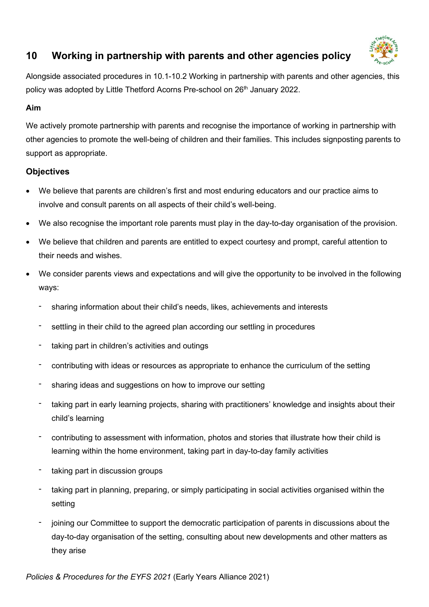

# **10 Working in partnership with parents and other agencies policy**

Alongside associated procedures in 10.1-10.2 Working in partnership with parents and other agencies, this policy was adopted by Little Thetford Acorns Pre-school on 26<sup>th</sup> January 2022.

### **Aim**

We actively promote partnership with parents and recognise the importance of working in partnership with other agencies to promote the well-being of children and their families. This includes signposting parents to support as appropriate.

## **Objectives**

- We believe that parents are children's first and most enduring educators and our practice aims to involve and consult parents on all aspects of their child's well-being.
- We also recognise the important role parents must play in the day-to-day organisation of the provision.
- We believe that children and parents are entitled to expect courtesy and prompt, careful attention to their needs and wishes.
- We consider parents views and expectations and will give the opportunity to be involved in the following ways:
	- sharing information about their child's needs, likes, achievements and interests
	- settling in their child to the agreed plan according our settling in procedures
	- taking part in children's activities and outings
	- contributing with ideas or resources as appropriate to enhance the curriculum of the setting
	- sharing ideas and suggestions on how to improve our setting
	- taking part in early learning projects, sharing with practitioners' knowledge and insights about their child's learning
	- contributing to assessment with information, photos and stories that illustrate how their child is learning within the home environment, taking part in day-to-day family activities
	- taking part in discussion groups
	- taking part in planning, preparing, or simply participating in social activities organised within the setting
	- joining our Committee to support the democratic participation of parents in discussions about the day-to-day organisation of the setting, consulting about new developments and other matters as they arise